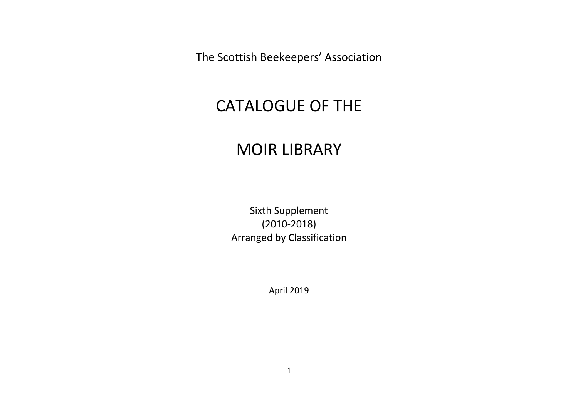The Scottish Beekeepers' Association

## CATALOGUE OF THE

## MOIR LIBRARY

Sixth Supplement (2010-2018) Arranged by Classification

April 2019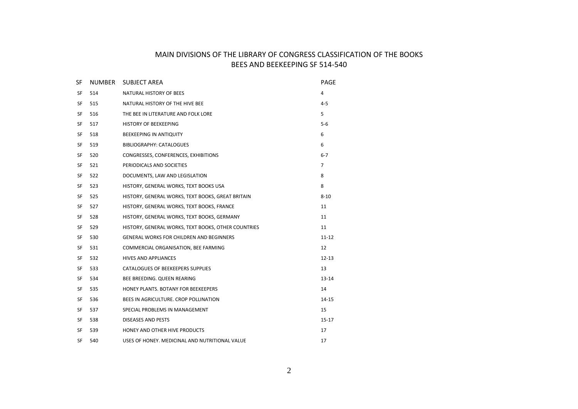## MAIN DIVISIONS OF THE LIBRARY OF CONGRESS CLASSIFICATION OF THE BOOKS BEES AND BEEKEEPING SF 514-540

| SF        | <b>NUMBER</b> | <b>SUBJECT AREA</b>                                 | PAGE           |
|-----------|---------------|-----------------------------------------------------|----------------|
| SF        | 514           | NATURAL HISTORY OF BEES                             | 4              |
| <b>SF</b> | 515           | NATURAL HISTORY OF THE HIVE BEE                     | $4 - 5$        |
| SF        | 516           | THE BEE IN LITERATURE AND FOLK LORE                 | 5              |
| SF        | 517           | <b>HISTORY OF BEEKEEPING</b>                        | $5-6$          |
| <b>SF</b> | 518           | <b>BEEKEEPING IN ANTIQUITY</b>                      | 6              |
| SF        | 519           | BIBLIOGRAPHY: CATALOGUES                            | 6              |
| SF        | 520           | CONGRESSES, CONFERENCES, EXHIBITIONS                | $6 - 7$        |
| SF        | 521           | PERIODICALS AND SOCIETIES                           | $\overline{7}$ |
| SF        | 522           | DOCUMENTS, LAW AND LEGISLATION                      | 8              |
| SF        | 523           | HISTORY, GENERAL WORKS, TEXT BOOKS USA              | 8              |
| SF        | 525           | HISTORY, GENERAL WORKS, TEXT BOOKS, GREAT BRITAIN   | $8 - 10$       |
| SF        | 527           | HISTORY, GENERAL WORKS, TEXT BOOKS, FRANCE          | 11             |
| SF        | 528           | HISTORY, GENERAL WORKS, TEXT BOOKS, GERMANY         | 11             |
| SF        | 529           | HISTORY, GENERAL WORKS, TEXT BOOKS, OTHER COUNTRIES | 11             |
| SF        | 530           | <b>GENERAL WORKS FOR CHILDREN AND BEGINNERS</b>     | $11 - 12$      |
| SF        | 531           | COMMERCIAL ORGANISATION, BEE FARMING                | 12             |
| SF        | 532           | <b>HIVES AND APPLIANCES</b>                         | $12 - 13$      |
| SF        | 533           | CATALOGUES OF BEEKEEPERS SUPPLIES                   | 13             |
| SF        | 534           | BEE BREEDING. QUEEN REARING                         | $13 - 14$      |
| <b>SF</b> | 535           | HONEY PLANTS. BOTANY FOR BEEKEEPERS                 | 14             |
| SF        | 536           | BEES IN AGRICULTURE. CROP POLLINATION               | $14 - 15$      |
| SF        | 537           | SPECIAL PROBLEMS IN MANAGEMENT                      | 15             |
| <b>SF</b> | 538           | <b>DISEASES AND PESTS</b>                           | $15 - 17$      |
| SF        | 539           | HONEY AND OTHER HIVE PRODUCTS                       | 17             |
| SF        | 540           | USES OF HONEY. MEDICINAL AND NUTRITIONAL VALUE      | 17             |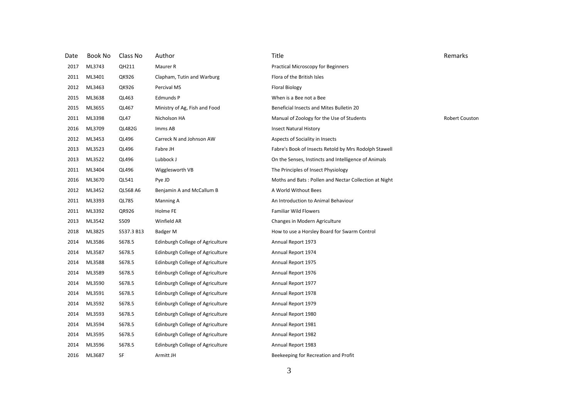| Date | Book No | Class No      | Author                           | Title                                                 | Remarks        |
|------|---------|---------------|----------------------------------|-------------------------------------------------------|----------------|
| 2017 | ML3743  | QH211         | Maurer R                         | <b>Practical Microscopy for Beginners</b>             |                |
| 2011 | ML3401  | QK926         | Clapham, Tutin and Warburg       | Flora of the British Isles                            |                |
| 2012 | ML3463  | QK926         | Percival MS                      | <b>Floral Biology</b>                                 |                |
| 2015 | ML3638  | QL463         | Edmunds P                        | When is a Bee not a Bee                               |                |
| 2015 | ML3655  | QL467         | Ministry of Ag, Fish and Food    | Beneficial Insects and Mites Bulletin 20              |                |
| 2011 | ML3398  | QL47          | Nicholson HA                     | Manual of Zoology for the Use of Students             | Robert Couston |
| 2016 | ML3709  | <b>QL482G</b> | Imms AB                          | <b>Insect Natural History</b>                         |                |
| 2012 | ML3453  | QL496         | Carreck N and Johnson AW         | Aspects of Sociality in Insects                       |                |
| 2013 | ML3523  | QL496         | Fabre JH                         | Fabre's Book of Insects Retold by Mrs Rodolph Stawell |                |
| 2013 | ML3522  | QL496         | Lubbock J                        | On the Senses, Instincts and Intelligence of Animals  |                |
| 2011 | ML3404  | QL496         | Wigglesworth VB                  | The Principles of Insect Physiology                   |                |
| 2016 | ML3670  | QL541         | Pye JD                           | Moths and Bats: Pollen and Nectar Collection at Night |                |
| 2012 | ML3452  | QL568 A6      | Benjamin A and McCallum B        | A World Without Bees                                  |                |
| 2011 | ML3393  | QL785         | Manning A                        | An Introduction to Animal Behaviour                   |                |
| 2011 | ML3392  | QR926         | Holme FE                         | <b>Familiar Wild Flowers</b>                          |                |
| 2013 | ML3542  | S509          | Winfield AR                      | Changes in Modern Agriculture                         |                |
| 2018 | ML3825  | S537.3 B13    | Badger M                         | How to use a Horsley Board for Swarm Control          |                |
| 2014 | ML3586  | S678.5        | Edinburgh College of Agriculture | Annual Report 1973                                    |                |
| 2014 | ML3587  | S678.5        | Edinburgh College of Agriculture | Annual Report 1974                                    |                |
| 2014 | ML3588  | S678.5        | Edinburgh College of Agriculture | Annual Report 1975                                    |                |
| 2014 | ML3589  | S678.5        | Edinburgh College of Agriculture | Annual Report 1976                                    |                |
| 2014 | ML3590  | S678.5        | Edinburgh College of Agriculture | Annual Report 1977                                    |                |
| 2014 | ML3591  | S678.5        | Edinburgh College of Agriculture | Annual Report 1978                                    |                |
| 2014 | ML3592  | S678.5        | Edinburgh College of Agriculture | Annual Report 1979                                    |                |
| 2014 | ML3593  | S678.5        | Edinburgh College of Agriculture | Annual Report 1980                                    |                |
| 2014 | ML3594  | S678.5        | Edinburgh College of Agriculture | Annual Report 1981                                    |                |
| 2014 | ML3595  | S678.5        | Edinburgh College of Agriculture | Annual Report 1982                                    |                |
| 2014 | ML3596  | S678.5        | Edinburgh College of Agriculture | Annual Report 1983                                    |                |
| 2016 | ML3687  | SF            | Armitt JH                        | Beekeeping for Recreation and Profit                  |                |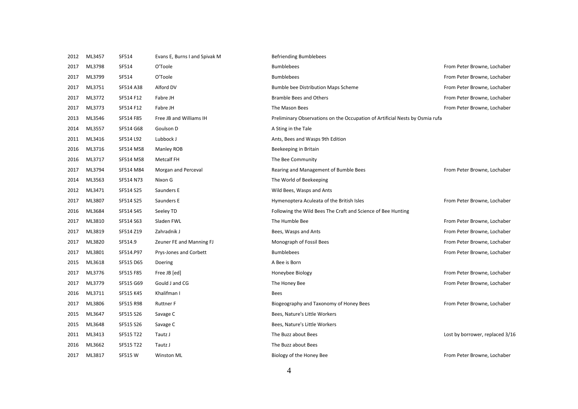| 2012 | ML3457 | SF514     | Evans E, Burns I and Spivak M | <b>Befriending Bumblebees</b>                                                |                                 |
|------|--------|-----------|-------------------------------|------------------------------------------------------------------------------|---------------------------------|
| 2017 | ML3798 | SF514     | O'Toole                       | <b>Bumblebees</b>                                                            | From Peter Browne, Lochaber     |
| 2017 | ML3799 | SF514     | O'Toole                       | <b>Bumblebees</b>                                                            | From Peter Browne, Lochaber     |
| 2017 | ML3751 | SF514 A38 | Alford DV                     | <b>Bumble bee Distribution Maps Scheme</b>                                   | From Peter Browne, Lochaber     |
| 2017 | ML3772 | SF514 F12 | Fabre JH                      | <b>Bramble Bees and Others</b>                                               | From Peter Browne, Lochaber     |
| 2017 | ML3773 | SF514 F12 | Fabre JH                      | The Mason Bees                                                               | From Peter Browne, Lochaber     |
| 2013 | ML3546 | SF514 F85 | Free JB and Williams IH       | Preliminary Observations on the Occupation of Artificial Nests by Osmia rufa |                                 |
| 2014 | ML3557 | SF514 G68 | Goulson D                     | A Sting in the Tale                                                          |                                 |
| 2011 | ML3416 | SF514 L92 | Lubbock J                     | Ants, Bees and Wasps 9th Edition                                             |                                 |
| 2016 | ML3716 | SF514 M58 | Manley ROB                    | Beekeeping in Britain                                                        |                                 |
| 2016 | ML3717 | SF514 M58 | <b>Metcalf FH</b>             | The Bee Community                                                            |                                 |
| 2017 | ML3794 | SF514 M84 | Morgan and Perceval           | Rearing and Management of Bumble Bees                                        | From Peter Browne, Lochaber     |
| 2014 | ML3563 | SF514 N73 | Nixon G                       | The World of Beekeeping                                                      |                                 |
| 2012 | ML3471 | SF514 S25 | Saunders E                    | Wild Bees, Wasps and Ants                                                    |                                 |
| 2017 | ML3807 | SF514 S25 | Saunders E                    | Hymenoptera Aculeata of the British Isles                                    | From Peter Browne, Lochaber     |
| 2016 | ML3684 | SF514 S45 | Seeley TD                     | Following the Wild Bees The Craft and Science of Bee Hunting                 |                                 |
| 2017 | ML3810 | SF514 S63 | Sladen FWL                    | The Humble Bee                                                               | From Peter Browne, Lochaber     |
| 2017 | ML3819 | SF514 Z19 | Zahradnik J                   | Bees, Wasps and Ants                                                         | From Peter Browne, Lochaber     |
| 2017 | ML3820 | SF514.9   | Zeuner FE and Manning FJ      | Monograph of Fossil Bees                                                     | From Peter Browne, Lochaber     |
| 2017 | ML3801 | SF514.P97 | Prys-Jones and Corbett        | <b>Bumblebees</b>                                                            | From Peter Browne, Lochaber     |
| 2015 | ML3618 | SF515 D65 | Doering                       | A Bee is Born                                                                |                                 |
| 2017 | ML3776 | SF515 F85 | Free JB [ed]                  | Honeybee Biology                                                             | From Peter Browne, Lochaber     |
| 2017 | ML3779 | SF515 G69 | Gould J and CG                | The Honey Bee                                                                | From Peter Browne, Lochaber     |
| 2016 | ML3711 | SF515 K45 | Khalifman I                   | <b>Bees</b>                                                                  |                                 |
| 2017 | ML3806 | SF515 R98 | <b>Ruttner F</b>              | Biogeography and Taxonomy of Honey Bees                                      | From Peter Browne, Lochaber     |
| 2015 | ML3647 | SF515 S26 | Savage C                      | Bees, Nature's Little Workers                                                |                                 |
| 2015 | ML3648 | SF515 S26 | Savage C                      | Bees, Nature's Little Workers                                                |                                 |
| 2011 | ML3413 | SF515 T22 | Tautz J                       | The Buzz about Bees                                                          | Lost by borrower, replaced 3/16 |
| 2016 | ML3662 | SF515 T22 | Tautz J                       | The Buzz about Bees                                                          |                                 |
| 2017 | ML3817 | SF515W    | <b>Winston ML</b>             | Biology of the Honey Bee                                                     | From Peter Browne, Lochaber     |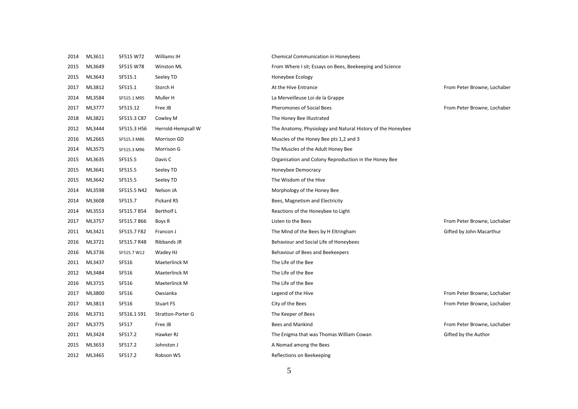| 2014 | ML3611 | SF515 W72   | Williams IH              | <b>Chemical Communication in Honeybees</b>                  |                             |
|------|--------|-------------|--------------------------|-------------------------------------------------------------|-----------------------------|
| 2015 | ML3649 | SF515 W78   | <b>Winston ML</b>        | From Where I sit; Essays on Bees, Beekeeping and Science    |                             |
| 2015 | ML3643 | SF515.1     | Seeley TD                | Honeybee Ecology                                            |                             |
| 2017 | ML3812 | SF515.1     | Storch H                 | At the Hive Entrance                                        | From Peter Browne, Lochaber |
| 2014 | ML3584 | SF515.1 M95 | Muller H                 | La Merveilleuse Loi de la Grappe                            |                             |
| 2017 | ML3777 | SF515.12    | Free JB                  | <b>Pheromones of Social Bees</b>                            | From Peter Browne, Lochaber |
| 2018 | ML3821 | SF515.3 C87 | Cowley M                 | The Honey Bee Illustrated                                   |                             |
| 2012 | ML3444 | SF515.3 H56 | Herrold-Hempsall W       | The Anatomy, Physiology and Natural History of the Honeybee |                             |
| 2016 | ML2665 | SF515.3 M86 | Morrison GD              | Muscles of the Honey Bee pts 1,2 and 3                      |                             |
| 2014 | ML3575 | SF515.3 M96 | Morrison G               | The Muscles of the Adult Honey Bee                          |                             |
| 2015 | ML3635 | SF515.5     | Davis C                  | Organisation and Colony Reproduction in the Honey Bee       |                             |
| 2015 | ML3641 | SF515.5     | Seeley TD                | Honeybee Democracy                                          |                             |
| 2015 | ML3642 | SF515.5     | Seeley TD                | The Wisdom of the Hive                                      |                             |
| 2014 | ML3598 | SF515.5 N42 | Nelson JA                | Morphology of the Honey Bee                                 |                             |
| 2014 | ML3608 | SF515.7     | Pickard RS               | Bees, Magnetism and Electricity                             |                             |
| 2014 | ML3553 | SF515.7 B54 | <b>Bertholf L</b>        | Reactions of the Honeybee to Light                          |                             |
| 2017 | ML3757 | SF515.7 B66 | Boys R                   | Listen to the Bees                                          | From Peter Browne, Lochaber |
| 2011 | ML3421 | SF515.7 F82 | Francon J                | The Mind of the Bees by H Eltringham                        | Gifted by John Macarthur    |
| 2016 | ML3721 | SF515.7 R48 | Ribbands JR              | Behaviour and Social Life of Honeybees                      |                             |
| 2016 | ML3736 | SF515.7 W12 | Wadey HJ                 | Behaviour of Bees and Beekeepers                            |                             |
| 2011 | ML3437 | SF516       | Maeterlinck M            | The Life of the Bee                                         |                             |
| 2012 | ML3484 | SF516       | Maeterlinck M            | The Life of the Bee                                         |                             |
| 2016 | ML3715 | SF516       | Maeterlinck M            | The Life of the Bee                                         |                             |
| 2017 | ML3800 | SF516       | Owsianka                 | Legend of the Hive                                          | From Peter Browne, Lochaber |
| 2017 | ML3813 | SF516       | Stuart FS                | City of the Bees                                            | From Peter Browne, Lochaber |
| 2016 | ML3731 | SF516.1 S91 | <b>Stratton-Porter G</b> | The Keeper of Bees                                          |                             |
| 2017 | ML3775 | SF517       | Free JB                  | <b>Bees and Mankind</b>                                     | From Peter Browne, Lochaber |
| 2011 | ML3424 | SF517.2     | Hawker RJ                | The Enigma that was Thomas William Cowan                    | Gifted by the Author        |
| 2015 | ML3653 | SF517.2     | Johnston J               | A Nomad among the Bees                                      |                             |
| 2012 | ML3465 | SF517.2     | Robson WS                | Reflections on Beekeeping                                   |                             |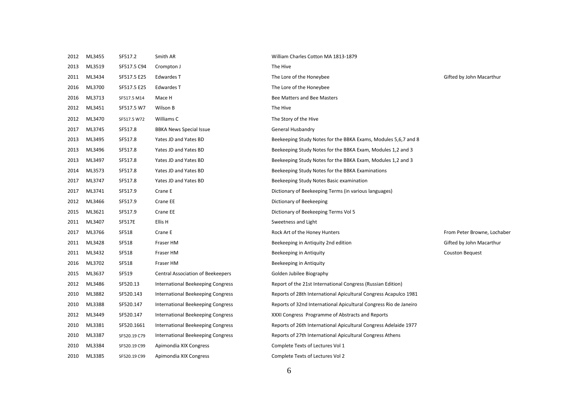| 2012 | ML3455 | SF517.2       | Smith AR                          | William Charles Cotton MA 1813-1879                               |                             |
|------|--------|---------------|-----------------------------------|-------------------------------------------------------------------|-----------------------------|
| 2013 | ML3519 | SF517.5 C94   | Crompton J                        | The Hive                                                          |                             |
| 2011 | ML3434 | SF517.5 E25   | Edwardes T                        | The Lore of the Honeybee                                          | Gifted by John Macarthur    |
| 2016 | ML3700 | SF517.5 E25   | Edwardes T                        | The Lore of the Honeybee                                          |                             |
| 2016 | ML3713 | SF517.5 M14   | Mace H                            | Bee Matters and Bee Masters                                       |                             |
| 2012 | ML3451 | SF517.5 W7    | Wilson B                          | The Hive                                                          |                             |
| 2012 | ML3470 | SF517.5 W72   | Williams C                        | The Story of the Hive                                             |                             |
| 2017 | ML3745 | SF517.8       | <b>BBKA News Special Issue</b>    | General Husbandry                                                 |                             |
| 2013 | ML3495 | SF517.8       | Yates JD and Yates BD             | Beekeeping Study Notes for the BBKA Exams, Modules 5,6,7 and 8    |                             |
| 2013 | ML3496 | SF517.8       | Yates JD and Yates BD             | Beekeeping Study Notes for the BBKA Exam, Modules 1,2 and 3       |                             |
| 2013 | ML3497 | SF517.8       | Yates JD and Yates BD             | Beekeeping Study Notes for the BBKA Exam, Modules 1,2 and 3       |                             |
| 2014 | ML3573 | SF517.8       | Yates JD and Yates BD             | Beekeeping Study Notes for the BBKA Examinations                  |                             |
| 2017 | ML3747 | SF517.8       | Yates JD and Yates BD             | Beekeeping Study Notes Basic examination                          |                             |
| 2017 | ML3741 | SF517.9       | Crane E                           | Dictionary of Beekeeping Terms (in various languages)             |                             |
| 2012 | ML3466 | SF517.9       | Crane EE                          | Dictionary of Beekeeping                                          |                             |
| 2015 | ML3621 | SF517.9       | Crane EE                          | Dictionary of Beekeeping Terms Vol 5                              |                             |
| 2011 | ML3407 | <b>SF517E</b> | Ellis H                           | Sweetness and Light                                               |                             |
| 2017 | ML3766 | SF518         | Crane E                           | Rock Art of the Honey Hunters                                     | From Peter Browne, Lochaber |
| 2011 | ML3428 | SF518         | Fraser HM                         | Beekeeping in Antiquity 2nd edition                               | Gifted by John Macarthur    |
| 2011 | ML3432 | SF518         | Fraser HM                         | Beekeeping in Antiquity                                           | Couston Bequest             |
| 2016 | ML3702 | SF518         | Fraser HM                         | Beekeeping in Antiquity                                           |                             |
| 2015 | ML3637 | SF519         | Central Association of Beekeepers | Golden Jubilee Biography                                          |                             |
| 2012 | ML3486 | SF520.13      | International Beekeeping Congress | Report of the 21st International Congress (Russian Edition)       |                             |
| 2010 | ML3882 | SF520.143     | International Beekeeping Congress | Reports of 28th International Apicultural Congress Acapulco 1981  |                             |
| 2010 | ML3388 | SF520.147     | International Beekeeping Congress | Reports of 32nd International Apicultural Congress Rio de Janeiro |                             |
| 2012 | ML3449 | SF520.147     | International Beekeeping Congress | XXXI Congress Programme of Abstracts and Reports                  |                             |
| 2010 | ML3381 | SF520.1661    | International Beekeeping Congress | Reports of 26th International Apicultural Congress Adelaide 1977  |                             |
| 2010 | ML3387 | SF520.19 C79  | International Beekeeping Congress | Reports of 27th International Apicultural Congress Athens         |                             |
| 2010 | ML3384 | SF520.19 C99  | Apimondia XIX Congress            | Complete Texts of Lectures Vol 1                                  |                             |
| 2010 | ML3385 | SF520.19 C99  | Apimondia XIX Congress            | Complete Texts of Lectures Vol 2                                  |                             |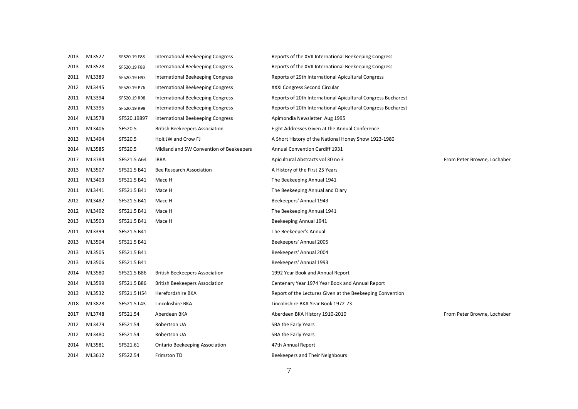| 2013 | ML3527 | SF520.19 F88 | International Beekeeping Congress        | Reports of the XVII International Beekeeping Congress        |                             |
|------|--------|--------------|------------------------------------------|--------------------------------------------------------------|-----------------------------|
| 2013 | ML3528 | SF520.19 F88 | International Beekeeping Congress        | Reports of the XVII International Beekeeping Congress        |                             |
| 2011 | ML3389 | SF520.19 H93 | International Beekeeping Congress        | Reports of 29th International Apicultural Congress           |                             |
| 2012 | ML3445 | SF520.19 P76 | International Beekeeping Congress        | XXXI Congress Second Circular                                |                             |
| 2011 | ML3394 | SF520.19 R98 | <b>International Beekeeping Congress</b> | Reports of 20th International Apicultural Congress Bucharest |                             |
| 2011 | ML3395 | SF520.19 R98 | International Beekeeping Congress        | Reports of 20th International Apicultural Congress Bucharest |                             |
| 2014 | ML3578 | SF520.19897  | <b>International Beekeeping Congress</b> | Apimondia Newsletter Aug 1995                                |                             |
| 2011 | ML3406 | SF520.5      | <b>British Beekeepers Association</b>    | Eight Addresses Given at the Annual Conference               |                             |
| 2013 | ML3494 | SF520.5      | Holt JW and Crow FJ                      | A Short History of the National Honey Show 1923-1980         |                             |
| 2014 | ML3585 | SF520.5      | Midland and SW Convention of Beekeepers  | <b>Annual Convention Cardiff 1931</b>                        |                             |
| 2017 | ML3784 | SF521.5 A64  | <b>IBRA</b>                              | Apicultural Abstracts vol 30 no 3                            | From Peter Browne, Lochaber |
| 2013 | ML3507 | SF521.5 B41  | Bee Research Association                 | A History of the First 25 Years                              |                             |
| 2011 | ML3403 | SF521.5 B41  | Mace H                                   | The Beekeeping Annual 1941                                   |                             |
| 2011 | ML3441 | SF521.5 B41  | Mace H                                   | The Beekeeping Annual and Diary                              |                             |
| 2012 | ML3482 | SF521.5 B41  | Mace H                                   | Beekeepers' Annual 1943                                      |                             |
| 2012 | ML3492 | SF521.5 B41  | Mace H                                   | The Beekeeping Annual 1941                                   |                             |
| 2013 | ML3503 | SF521.5 B41  | Mace H                                   | Beekeeping Annual 1941                                       |                             |
| 2011 | ML3399 | SF521.5 B41  |                                          | The Beekeeper's Annual                                       |                             |
| 2013 | ML3504 | SF521.5 B41  |                                          | Beekeepers' Annual 2005                                      |                             |
| 2013 | ML3505 | SF521.5 B41  |                                          | Beekeepers' Annual 2004                                      |                             |
| 2013 | ML3506 | SF521.5 B41  |                                          | Beekeepers' Annual 1993                                      |                             |
| 2014 | ML3580 | SF521.5 B86  | <b>British Beekeepers Association</b>    | 1992 Year Book and Annual Report                             |                             |
| 2014 | ML3599 | SF521.5 B86  | <b>British Beekeepers Association</b>    | Centenary Year 1974 Year Book and Annual Report              |                             |
| 2013 | ML3532 | SF521.5 H54  | Herefordshire BKA                        | Report of the Lectures Given at the Beekeeping Convention    |                             |
| 2018 | ML3828 | SF521.5 L43  | Lincolnshire BKA                         | Lincolnshire BKA Year Book 1972-73                           |                             |
| 2017 | ML3748 | SF521.54     | Aberdeen BKA                             | Aberdeen BKA History 1910-2010                               | From Peter Browne, Lochaber |
| 2012 | ML3479 | SF521.54     | Robertson UA                             | <b>SBA the Early Years</b>                                   |                             |
| 2012 | ML3480 | SF521.54     | Robertson UA                             | <b>SBA the Early Years</b>                                   |                             |
| 2014 | ML3581 | SF521.61     | <b>Ontario Beekeeping Association</b>    | 47th Annual Report                                           |                             |
| 2014 | ML3612 | SF522.54     | Frimston TD                              | Beekeepers and Their Neighbours                              |                             |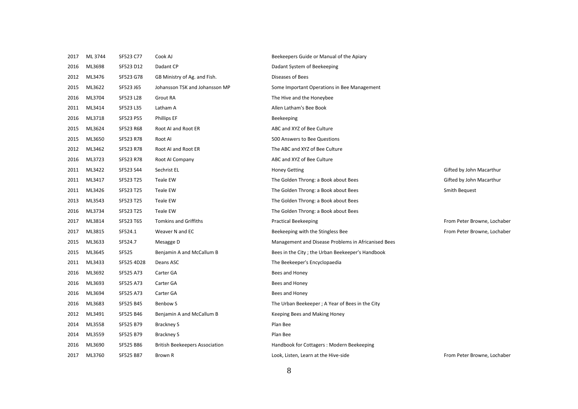| 2017 | ML 3744 | SF523 C77    | Cook AJ                               | Beekeepers Guide or Manual of the Apiary            |                             |
|------|---------|--------------|---------------------------------------|-----------------------------------------------------|-----------------------------|
| 2016 | ML3698  | SF523 D12    | Dadant CP                             | Dadant System of Beekeeping                         |                             |
| 2012 | ML3476  | SF523 G78    | GB Ministry of Ag. and Fish.          | Diseases of Bees                                    |                             |
| 2015 | ML3622  | SF523 J65    | Johansson TSK and Johansson MP        | Some Important Operations in Bee Management         |                             |
| 2016 | ML3704  | SF523 L28    | Grout RA                              | The Hive and the Honeybee                           |                             |
| 2011 | ML3414  | SF523 L35    | Latham A                              | Allen Latham's Bee Book                             |                             |
| 2016 | ML3718  | SF523 P55    | <b>Phillips EF</b>                    | Beekeeping                                          |                             |
| 2015 | ML3624  | SF523 R68    | Root AI and Root ER                   | ABC and XYZ of Bee Culture                          |                             |
| 2015 | ML3650  | SF523 R78    | Root AI                               | 500 Answers to Bee Questions                        |                             |
| 2012 | ML3462  | SF523 R78    | Root AI and Root ER                   | The ABC and XYZ of Bee Culture                      |                             |
| 2016 | ML3723  | SF523 R78    | Root AI Company                       | ABC and XYZ of Bee Culture                          |                             |
| 2011 | ML3422  | SF523 S44    | Sechrist EL                           | <b>Honey Getting</b>                                | Gifted by John Macarthur    |
| 2011 | ML3417  | SF523 T25    | Teale EW                              | The Golden Throng: a Book about Bees                | Gifted by John Macarthur    |
| 2011 | ML3426  | SF523 T25    | Teale EW                              | The Golden Throng: a Book about Bees                | Smith Bequest               |
| 2013 | ML3543  | SF523 T25    | Teale EW                              | The Golden Throng: a Book about Bees                |                             |
| 2016 | ML3734  | SF523 T25    | Teale EW                              | The Golden Throng: a Book about Bees                |                             |
| 2017 | ML3814  | SF523 T65    | <b>Tomkins and Griffiths</b>          | <b>Practical Beekeeping</b>                         | From Peter Browne, Lochaber |
| 2017 | ML3815  | SF524.1      | Weaver N and EC                       | Beekeeping with the Stingless Bee                   | From Peter Browne, Lochaber |
| 2015 | ML3633  | SF524.7      | Mesagge D                             | Management and Disease Problems in Africanised Bees |                             |
| 2015 | ML3645  | <b>SF525</b> | Benjamin A and McCallum B             | Bees in the City; the Urban Beekeeper's Handbook    |                             |
| 2011 | ML3433  | SF525 4D28   | Deans ASC                             | The Beekeeper's Encyclopaedia                       |                             |
| 2016 | ML3692  | SF525 A73    | Carter GA                             | Bees and Honey                                      |                             |
| 2016 | ML3693  | SF525 A73    | Carter GA                             | Bees and Honey                                      |                             |
| 2016 | ML3694  | SF525 A73    | Carter GA                             | Bees and Honey                                      |                             |
| 2016 | ML3683  | SF525 B45    | <b>Benbow S</b>                       | The Urban Beekeeper; A Year of Bees in the City     |                             |
| 2012 | ML3491  | SF525 B46    | Benjamin A and McCallum B             | Keeping Bees and Making Honey                       |                             |
| 2014 | ML3558  | SF525 B79    | Brackney S                            | Plan Bee                                            |                             |
| 2014 | ML3559  | SF525 B79    | Brackney S                            | Plan Bee                                            |                             |
| 2016 | ML3690  | SF525 B86    | <b>British Beekeepers Association</b> | Handbook for Cottagers: Modern Beekeeping           |                             |
| 2017 | ML3760  | SF525 B87    | Brown R                               | Look, Listen, Learn at the Hive-side                | From Peter Browne, Lochaber |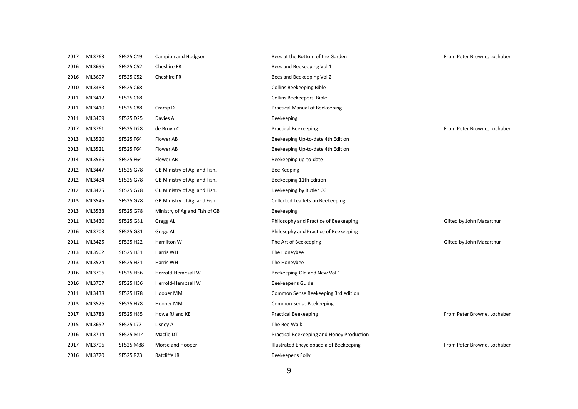| 2017 | ML3763 | SF525 C19 | Campion and Hodgson           | Bees at the Bottom of the Garden          | From Peter Browne, Lochaber |
|------|--------|-----------|-------------------------------|-------------------------------------------|-----------------------------|
| 2016 | ML3696 | SF525 C52 | Cheshire FR                   | Bees and Beekeeping Vol 1                 |                             |
| 2016 | ML3697 | SF525 C52 | Cheshire FR                   | Bees and Beekeeping Vol 2                 |                             |
| 2010 | ML3383 | SF525 C68 |                               | <b>Collins Beekeeping Bible</b>           |                             |
| 2011 | ML3412 | SF525 C68 |                               | Collins Beekeepers' Bible                 |                             |
| 2011 | ML3410 | SF525 C88 | Cramp D                       | Practical Manual of Beekeeping            |                             |
| 2011 | ML3409 | SF525 D25 | Davies A                      | Beekeeping                                |                             |
| 2017 | ML3761 | SF525 D28 | de Bruyn C                    | <b>Practical Beekeeping</b>               | From Peter Browne, Lochaber |
| 2013 | ML3520 | SF525 F64 | Flower AB                     | Beekeeping Up-to-date 4th Edition         |                             |
| 2013 | ML3521 | SF525 F64 | Flower AB                     | Beekeeping Up-to-date 4th Edition         |                             |
| 2014 | ML3566 | SF525 F64 | Flower AB                     | Beekeeping up-to-date                     |                             |
| 2012 | ML3447 | SF525 G78 | GB Ministry of Ag. and Fish.  | Bee Keeping                               |                             |
| 2012 | ML3434 | SF525 G78 | GB Ministry of Ag. and Fish.  | Beekeeping 11th Edition                   |                             |
| 2012 | ML3475 | SF525 G78 | GB Ministry of Ag. and Fish.  | Beekeeping by Butler CG                   |                             |
| 2013 | ML3545 | SF525 G78 | GB Ministry of Ag. and Fish.  | Collected Leaflets on Beekeeping          |                             |
| 2013 | ML3538 | SF525 G78 | Ministry of Ag and Fish of GB | Beekeeping                                |                             |
| 2011 | ML3430 | SF525 G81 | Gregg AL                      | Philosophy and Practice of Beekeeping     | Gifted by John Macarthur    |
| 2016 | ML3703 | SF525 G81 | Gregg AL                      | Philosophy and Practice of Beekeeping     |                             |
| 2011 | ML3425 | SF525 H22 | Hamilton W                    | The Art of Beekeeping                     | Gifted by John Macarthur    |
| 2013 | ML3502 | SF525 H31 | Harris WH                     | The Honeybee                              |                             |
| 2013 | ML3524 | SF525 H31 | Harris WH                     | The Honeybee                              |                             |
| 2016 | ML3706 | SF525 H56 | Herrold-Hempsall W            | Beekeeping Old and New Vol 1              |                             |
| 2016 | ML3707 | SF525 H56 | Herrold-Hempsall W            | Beekeeper's Guide                         |                             |
| 2011 | ML3438 | SF525 H78 | Hooper MM                     | Common Sense Beekeeping 3rd edition       |                             |
| 2013 | ML3526 | SF525 H78 | Hooper MM                     | Common-sense Beekeeping                   |                             |
| 2017 | ML3783 | SF525 H85 | Howe RJ and KE                | <b>Practical Beekeeping</b>               | From Peter Browne, Lochaber |
| 2015 | ML3652 | SF525 L77 | Lisney A                      | The Bee Walk                              |                             |
| 2016 | ML3714 | SF525 M14 | Macfie DT                     | Practical Beekeeping and Honey Production |                             |
| 2017 | ML3796 | SF525 M88 | Morse and Hooper              | Illustrated Encyclopaedia of Beekeeping   | From Peter Browne, Lochaber |
| 2016 | ML3720 | SF525 R23 | Ratcliffe JR                  | Beekeeper's Folly                         |                             |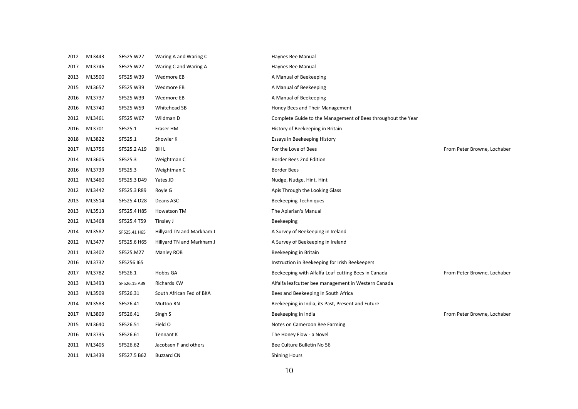| 2012 | ML3443 | SF525 W27    | Waring A and Waring C     | Haynes Bee Manual                                            |                             |
|------|--------|--------------|---------------------------|--------------------------------------------------------------|-----------------------------|
| 2017 | ML3746 | SF525 W27    | Waring C and Waring A     | Haynes Bee Manual                                            |                             |
| 2013 | ML3500 | SF525 W39    | Wedmore EB                | A Manual of Beekeeping                                       |                             |
| 2015 | ML3657 | SF525 W39    | Wedmore EB                | A Manual of Beekeeping                                       |                             |
| 2016 | ML3737 | SF525 W39    | Wedmore EB                | A Manual of Beekeeping                                       |                             |
| 2016 | ML3740 | SF525 W59    | Whitehead SB              | Honey Bees and Their Management                              |                             |
| 2012 | ML3461 | SF525 W67    | Wildman D                 | Complete Guide to the Management of Bees throughout the Year |                             |
| 2016 | ML3701 | SF525.1      | Fraser HM                 | History of Beekeeping in Britain                             |                             |
| 2018 | ML3822 | SF525.1      | Showler K                 | <b>Essays in Beekeeping History</b>                          |                             |
| 2017 | ML3756 | SF525.2 A19  | Bill L                    | For the Love of Bees                                         | From Peter Browne, Lochaber |
| 2014 | ML3605 | SF525.3      | Weightman C               | Border Bees 2nd Edition                                      |                             |
| 2016 | ML3739 | SF525.3      | Weightman C               | <b>Border Bees</b>                                           |                             |
| 2012 | ML3460 | SF525.3 D49  | Yates JD                  | Nudge, Nudge, Hint, Hint                                     |                             |
| 2012 | ML3442 | SF525.3 R89  | Royle G                   | Apis Through the Looking Glass                               |                             |
| 2013 | ML3514 | SF525.4 D28  | Deans ASC                 | Beekeeping Techniques                                        |                             |
| 2013 | ML3513 | SF525.4 H85  | Howatson TM               | The Apiarian's Manual                                        |                             |
| 2012 | ML3468 | SF525.4 T59  | Tinsley J                 | Beekeeping                                                   |                             |
| 2014 | ML3582 | SF525.41 H65 | Hillyard TN and Markham J | A Survey of Beekeeping in Ireland                            |                             |
| 2012 | ML3477 | SF525.6 H65  | Hillyard TN and Markham J | A Survey of Beekeeping in Ireland                            |                             |
| 2011 | ML3402 | SF525.M27    | Manley ROB                | Beekeeping in Britain                                        |                             |
| 2016 | ML3732 | SF5256 165   |                           | Instruction in Beekeeping for Irish Beekeepers               |                             |
| 2017 | ML3782 | SF526.1      | Hobbs GA                  | Beekeeping with Alfalfa Leaf-cutting Bees in Canada          | From Peter Browne, Lochaber |
| 2013 | ML3493 | SF526.15 A39 | Richards KW               | Alfalfa leafcutter bee management in Western Canada          |                             |
| 2013 | ML3509 | SF526.31     | South African Fed of BKA  | Bees and Beekeeping in South Africa                          |                             |
| 2014 | ML3583 | SF526.41     | Muttoo RN                 | Beekeeping in India, its Past, Present and Future            |                             |
| 2017 | ML3809 | SF526.41     | Singh S                   | Beekeeping in India                                          | From Peter Browne, Lochaber |
| 2015 | ML3640 | SF526.51     | Field O                   | Notes on Cameroon Bee Farming                                |                             |
| 2016 | ML3735 | SF526.61     | Tennant K                 | The Honey Flow - a Novel                                     |                             |
| 2011 | ML3405 | SF526.62     | Jacobsen F and others     | Bee Culture Bulletin No 56                                   |                             |
| 2011 | ML3439 | SF527.5 B62  | <b>Buzzard CN</b>         | <b>Shining Hours</b>                                         |                             |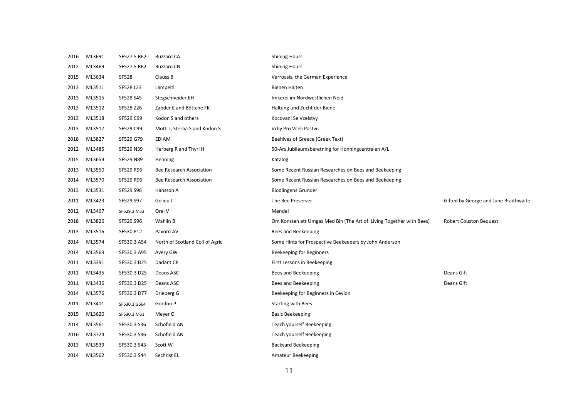| 2016 | ML3691 | SF527.5 R62  | <b>Buzzard CA</b>               | <b>Shining Hours</b>                                                |                                       |
|------|--------|--------------|---------------------------------|---------------------------------------------------------------------|---------------------------------------|
| 2012 | ML3469 | SF527.5 R62  | <b>Buzzard CN</b>               | <b>Shining Hours</b>                                                |                                       |
| 2015 | ML3634 | <b>SF528</b> | Clauss B                        | Varroasis, the German Experience                                    |                                       |
| 2013 | ML3511 | SF528 L23    | Lampeitl                        | Bienen Halten                                                       |                                       |
| 2013 | ML3515 | SF528 S45    | Stegschneider EH                | Imkerei im Nordwestlichen Neid                                      |                                       |
| 2013 | ML3512 | SF528 Z26    | Zander E and Böttche FK         | Haltung und Zucht der Biene                                         |                                       |
| 2013 | ML3518 | SF529 C99    | Kodon S and others              | Kocovani Se Vcelstvy                                                |                                       |
| 2013 | ML3517 | SF529 C99    | Mottl J, Sterba S and Kodon S   | Vrby Pro Vceli Pastvu                                               |                                       |
| 2018 | ML3827 | SF529 G79    | EDIAM                           | Beehives of Greece (Greek Text)                                     |                                       |
| 2012 | ML3485 | SF529 N39    | Herberg R and Thyri H           | 50-Ars Jubileumsberetning for Honningcentralen A/L                  |                                       |
| 2015 | ML3659 | SF529 N89    | Henning                         | Katalog                                                             |                                       |
| 2013 | ML3550 | SF529 R96    | Bee Research Association        | Some Recent Russian Researches on Bees and Beekeeping               |                                       |
| 2014 | ML3570 | SF529 R96    | Bee Research Association        | Some Recent Russian Researches on Bees and Beekeeping               |                                       |
| 2013 | ML3531 | SF529 S96    | Hansson A                       | <b>Biodlingens Grunder</b>                                          |                                       |
| 2011 | ML3423 | SF529 S97    | Gelieu J                        | The Bee Preserver                                                   | Gifted by George and June Braithwaite |
| 2012 | ML3467 | SF529.2 M53  | Orel V                          | Mendel                                                              |                                       |
| 2018 | ML3826 | SF529.S96    | Wahlin B                        | Om Konsten att Umgas Med Bin (The Art of Living Together with Bees) | <b>Robert Couston Bequest</b>         |
| 2013 | ML3516 | SF530 P12    | Pavord AV                       | Bees and Beekeeping                                                 |                                       |
| 2014 | ML3574 | SF530.3 A54  | North of Scotland Coll of Agric | Some Hints for Prospective Beekeepers by John Anderson              |                                       |
| 2014 | ML3569 | SF530.3 A95  | Avery GW                        | Beekeeping for Beginners                                            |                                       |
| 2011 | ML3391 | SF530.3 D25  | Dadant CP                       | First Lessons in Beekeeping                                         |                                       |
| 2011 | ML3435 | SF530.3 D25  | Deans ASC                       | Bees and Beekeeping                                                 | Deans Gift                            |
| 2011 | ML3436 | SF530.3 D25  | Deans ASC                       | Bees and Beekeeping                                                 | Deans Gift                            |
| 2014 | ML3576 | SF530.3 D77  | Drieberg G                      | Beekeeping for Beginners in Ceylon                                  |                                       |
| 2011 | ML3411 | SF530.3 G664 | Gordon P                        | <b>Starting with Bees</b>                                           |                                       |
| 2015 | ML3620 | SF530.3 M61  | Meyer O                         | <b>Basic Beekeeping</b>                                             |                                       |
| 2014 | ML3561 | SF530.3 S36  | Schofield AN                    | Teach yourself Beekeeping                                           |                                       |
| 2016 | ML3724 | SF530.3 S36  | Schofield AN                    | Teach yourself Beekeeping                                           |                                       |
| 2013 | ML3539 | SF530.3 S43  | Scott W                         | <b>Backyard Beekeeping</b>                                          |                                       |
| 2014 | ML3562 | SF530.3 S44  | Sechrist EL                     | Amateur Beekeeping                                                  |                                       |
|      |        |              |                                 |                                                                     |                                       |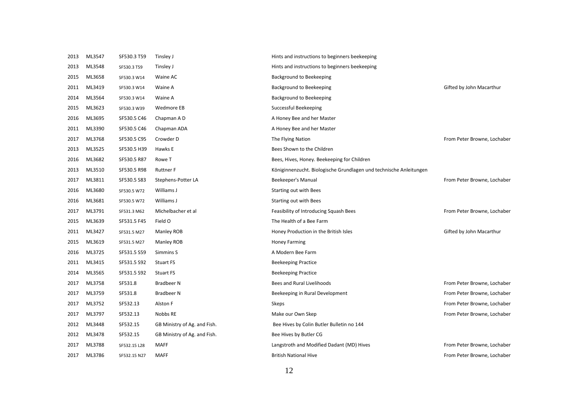| 2013 | ML3547 | SF530.3 T59  | Tinsley J                    | Hints and instructions to beginners beekeeping                     |                             |
|------|--------|--------------|------------------------------|--------------------------------------------------------------------|-----------------------------|
| 2013 | ML3548 | SF530.3 T59  | Tinsley J                    | Hints and instructions to beginners beekeeping                     |                             |
| 2015 | ML3658 | SF530.3 W14  | Waine AC                     | Background to Beekeeping                                           |                             |
| 2011 | ML3419 | SF530.3 W14  | Waine A                      | Background to Beekeeping                                           | Gifted by John Macarthur    |
| 2014 | ML3564 | SF530.3 W14  | Waine A                      | Background to Beekeeping                                           |                             |
| 2015 | ML3623 | SF530.3 W39  | Wedmore EB                   | Successful Beekeeping                                              |                             |
| 2016 | ML3695 | SF530.5 C46  | Chapman A D                  | A Honey Bee and her Master                                         |                             |
| 2011 | ML3390 | SF530.5 C46  | Chapman ADA                  | A Honey Bee and her Master                                         |                             |
| 2017 | ML3768 | SF530.5 C95  | Crowder D                    | The Flying Nation                                                  | From Peter Browne, Lochaber |
| 2013 | ML3525 | SF530.5 H39  | Hawks E                      | Bees Shown to the Children                                         |                             |
| 2016 | ML3682 | SF530.5 R87  | Rowe T                       | Bees, Hives, Honey. Beekeeping for Children                        |                             |
| 2013 | ML3510 | SF530.5 R98  | <b>Ruttner F</b>             | Königinnenzucht. Biologische Grundlagen und technische Anleitungen |                             |
| 2017 | ML3811 | SF530.5 S83  | Stephens-Potter LA           | Beekeeper's Manual                                                 | From Peter Browne, Lochaber |
| 2016 | ML3680 | SF530.5 W72  | Williams J                   | Starting out with Bees                                             |                             |
| 2016 | ML3681 | SF530.5 W72  | Williams J                   | Starting out with Bees                                             |                             |
| 2017 | ML3791 | SF531.3 M62  | Michelbacher et al           | Feasibility of Introducing Squash Bees                             | From Peter Browne, Lochaber |
| 2015 | ML3639 | SF531.5 F45  | Field O                      | The Health of a Bee Farm                                           |                             |
| 2011 | ML3427 | SF531.5 M27  | Manley ROB                   | Honey Production in the British Isles                              | Gifted by John Macarthur    |
| 2015 | ML3619 | SF531.5 M27  | Manley ROB                   | <b>Honey Farming</b>                                               |                             |
| 2016 | ML3725 | SF531.5 S59  | Simmins S                    | A Modern Bee Farm                                                  |                             |
| 2011 | ML3415 | SF531.5 S92  | <b>Stuart FS</b>             | <b>Beekeeping Practice</b>                                         |                             |
| 2014 | ML3565 | SF531.5 S92  | <b>Stuart FS</b>             | <b>Beekeeping Practice</b>                                         |                             |
| 2017 | ML3758 | SF531.8      | Bradbeer N                   | Bees and Rural Livelihoods                                         | From Peter Browne, Lochaber |
| 2017 | ML3759 | SF531.8      | <b>Bradbeer N</b>            | Beekeeping in Rural Development                                    | From Peter Browne, Lochaber |
| 2017 | ML3752 | SF532.13     | Alston F                     | Skeps                                                              | From Peter Browne, Lochaber |
| 2017 | ML3797 | SF532.13     | Nobbs RE                     | Make our Own Skep                                                  | From Peter Browne, Lochaber |
| 2012 | ML3448 | SF532.15     | GB Ministry of Ag. and Fish. | Bee Hives by Colin Butler Bulletin no 144                          |                             |
| 2012 | ML3478 | SF532.15     | GB Ministry of Ag. and Fish. | Bee Hives by Butler CG                                             |                             |
| 2017 | ML3788 | SF532.15 L28 | <b>MAFF</b>                  | Langstroth and Modified Dadant (MD) Hives                          | From Peter Browne, Lochaber |
| 2017 | ML3786 | SF532.15 N27 | MAFF                         | <b>British National Hive</b>                                       | From Peter Browne, Lochaber |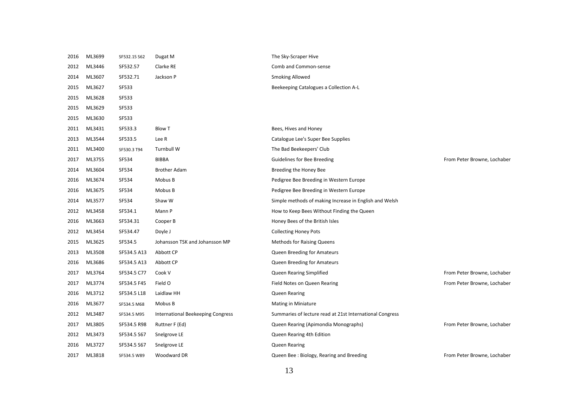| 2016 | ML3699 | SF532.15 S62 | Dugat M                           | The Sky-Scraper Hive                                     |                             |
|------|--------|--------------|-----------------------------------|----------------------------------------------------------|-----------------------------|
| 2012 | ML3446 | SF532.57     | Clarke RE                         | Comb and Common-sense                                    |                             |
| 2014 | ML3607 | SF532.71     | Jackson P                         | <b>Smoking Allowed</b>                                   |                             |
| 2015 | ML3627 | SF533        |                                   | Beekeeping Catalogues a Collection A-L                   |                             |
| 2015 | ML3628 | <b>SF533</b> |                                   |                                                          |                             |
| 2015 | ML3629 | <b>SF533</b> |                                   |                                                          |                             |
| 2015 | ML3630 | SF533        |                                   |                                                          |                             |
| 2011 | ML3431 | SF533.3      | <b>Blow T</b>                     | Bees, Hives and Honey                                    |                             |
| 2013 | ML3544 | SF533.5      | Lee R                             | Catalogue Lee's Super Bee Supplies                       |                             |
| 2011 | ML3400 | SF530.3 T94  | Turnbull W                        | The Bad Beekeepers' Club                                 |                             |
| 2017 | ML3755 | SF534        | <b>BIBBA</b>                      | Guidelines for Bee Breeding                              | From Peter Browne, Lochaber |
| 2014 | ML3604 | SF534        | <b>Brother Adam</b>               | Breeding the Honey Bee                                   |                             |
| 2016 | ML3674 | SF534        | Mobus B                           | Pedigree Bee Breeding in Western Europe                  |                             |
| 2016 | ML3675 | SF534        | Mobus B                           | Pedigree Bee Breeding in Western Europe                  |                             |
| 2014 | ML3577 | SF534        | Shaw W                            | Simple methods of making Increase in English and Welsh   |                             |
| 2012 | ML3458 | SF534.1      | Mann P                            | How to Keep Bees Without Finding the Queen               |                             |
| 2016 | ML3663 | SF534.31     | Cooper B                          | Honey Bees of the British Isles                          |                             |
| 2012 | ML3454 | SF534.47     | Doyle J                           | <b>Collecting Honey Pots</b>                             |                             |
| 2015 | ML3625 | SF534.5      | Johansson TSK and Johansson MP    | <b>Methods for Raising Queens</b>                        |                             |
| 2013 | ML3508 | SF534.5 A13  | Abbott CP                         | Queen Breeding for Amateurs                              |                             |
| 2016 | ML3686 | SF534.5 A13  | Abbott CP                         | Queen Breeding for Amateurs                              |                             |
| 2017 | ML3764 | SF534.5 C77  | Cook V                            | Queen Rearing Simplified                                 | From Peter Browne, Lochaber |
| 2017 | ML3774 | SF534.5 F45  | Field O                           | Field Notes on Queen Rearing                             | From Peter Browne, Lochaber |
| 2016 | ML3712 | SF534.5 L18  | Laidlaw HH                        | Queen Rearing                                            |                             |
| 2016 | ML3677 | SF534.5 M68  | Mobus B                           | Mating in Miniature                                      |                             |
| 2012 | ML3487 | SF534.5 M95  | International Beekeeping Congress | Summaries of lecture read at 21st International Congress |                             |
| 2017 | ML3805 | SF534.5 R98  | Ruttner F (Ed)                    | Queen Rearing (Apimondia Monographs)                     | From Peter Browne, Lochaber |
| 2012 | ML3473 | SF534.5 S67  | Snelgrove LE                      | Queen Rearing 4th Edition                                |                             |
| 2016 | ML3727 | SF534.5 S67  | Snelgrove LE                      | Queen Rearing                                            |                             |
| 2017 | ML3818 | SF534.5 W89  | Woodward DR                       | Queen Bee: Biology, Rearing and Breeding                 | From Peter Browne, Lochaber |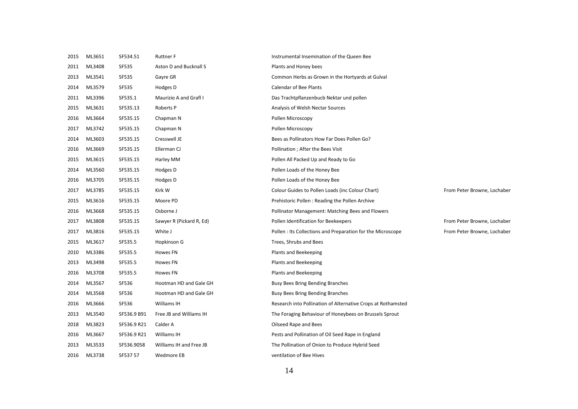| 2015 | ML3651 | SF534.51     | <b>Ruttner F</b>         | Instrumental Insemination of the Queen Bee                   |                             |
|------|--------|--------------|--------------------------|--------------------------------------------------------------|-----------------------------|
| 2011 | ML3408 | <b>SF535</b> | Aston D and Bucknall S   | Plants and Honey bees                                        |                             |
| 2013 | ML3541 | <b>SF535</b> | Gayre GR                 | Common Herbs as Grown in the Hortyards at Gulval             |                             |
| 2014 | ML3579 | <b>SF535</b> | Hodges D                 | <b>Calendar of Bee Plants</b>                                |                             |
| 2011 | ML3396 | SF535.1      | Maurizio A and Grafl I   | Das Trachtpflanzenbucb Nektar und pollen                     |                             |
| 2015 | ML3631 | SF535.13     | Roberts P                | Analysis of Welsh Nectar Sources                             |                             |
| 2016 | ML3664 | SF535.15     | Chapman N                | Pollen Microscopy                                            |                             |
| 2017 | ML3742 | SF535.15     | Chapman N                | Pollen Microscopy                                            |                             |
| 2014 | ML3603 | SF535.15     | Cresswell JE             | Bees as Pollinators How Far Does Pollen Go?                  |                             |
| 2016 | ML3669 | SF535.15     | Ellerman CJ              | Pollination ; After the Bees Visit                           |                             |
| 2015 | ML3615 | SF535.15     | Harley MM                | Pollen All Packed Up and Ready to Go                         |                             |
| 2014 | ML3560 | SF535.15     | Hodges D                 | Pollen Loads of the Honey Bee                                |                             |
| 2016 | ML3705 | SF535.15     | Hodges D                 | Pollen Loads of the Honey Bee                                |                             |
| 2017 | ML3785 | SF535.15     | Kirk W                   | Colour Guides to Pollen Loads (inc Colour Chart)             | From Peter Browne, Lochaber |
| 2015 | ML3616 | SF535.15     | Moore PD                 | Prehistoric Pollen: Reading the Pollen Archive               |                             |
| 2016 | ML3668 | SF535.15     | Osborne J                | Pollinator Management: Matching Bees and Flowers             |                             |
| 2017 | ML3808 | SF535.15     | Sawyer R (Pickard R, Ed) | Pollen Identification for Beekeepers                         | From Peter Browne, Lochaber |
| 2017 | ML3816 | SF535.15     | White J                  | Pollen: Its Collections and Preparation for the Microscope   | From Peter Browne, Lochaber |
| 2015 | ML3617 | SF535.5      | Hopkinson G              | Trees, Shrubs and Bees                                       |                             |
| 2010 | ML3386 | SF535.5      | Howes FN                 | Plants and Beekeeping                                        |                             |
| 2013 | ML3498 | SF535.5      | <b>Howes FN</b>          | Plants and Beekeeping                                        |                             |
| 2016 | ML3708 | SF535.5      | <b>Howes FN</b>          | Plants and Beekeeping                                        |                             |
| 2014 | ML3567 | SF536        | Hootman HD and Gale GH   | Busy Bees Bring Bending Branches                             |                             |
| 2014 | ML3568 | SF536        | Hootman HD and Gale GH   | Busy Bees Bring Bending Branches                             |                             |
| 2016 | ML3666 | SF536        | Williams IH              | Research into Pollination of Alternative Crops at Rothamsted |                             |
| 2013 | ML3540 | SF536.9 B91  | Free JB and Williams IH  | The Foraging Behaviour of Honeybees on Brussels Sprout       |                             |
| 2018 | ML3823 | SF536.9 R21  | Calder A                 | Oilseed Rape and Bees                                        |                             |
| 2016 | ML3667 | SF536.9 R21  | Williams IH              | Pests and Pollination of Oil Seed Rape in England            |                             |
| 2013 | ML3533 | SF536.9058   | Williams IH and Free JB  | The Pollination of Onion to Produce Hybrid Seed              |                             |
| 2016 | ML3738 | SF537 57     | Wedmore EB               | ventilation of Bee Hives                                     |                             |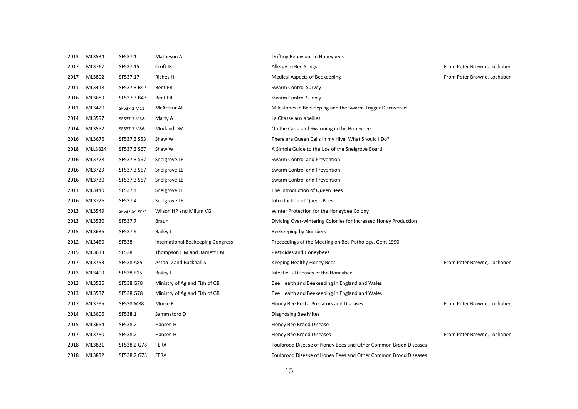| 2013 | ML3534  | SF537.1      | Matheson A                        | Drifting Behaviour in Honeybees                                 |                             |
|------|---------|--------------|-----------------------------------|-----------------------------------------------------------------|-----------------------------|
| 2017 | ML3767  | SF537.15     | Croft IR                          | Allergy to Bee Stings                                           | From Peter Browne, Lochaber |
| 2017 | ML3802  | SF537.17     | Riches H                          | <b>Medical Aspects of Beekeeping</b>                            | From Peter Browne, Lochaber |
| 2011 | ML3418  | SF537.3 B47  | Bent ER                           | Swarm Control Survey                                            |                             |
| 2016 | ML3689  | SF537.3 B47  | Bent ER                           | Swarm Control Survey                                            |                             |
| 2011 | ML3420  | SF537.3 M11  | <b>McArthur AE</b>                | Milestones in Beekeeping and the Swarm Trigger Discovered       |                             |
| 2014 | ML3597  | SF537.3 M38  | Marty A                           | La Chasse aux abeilles                                          |                             |
| 2014 | ML3552  | SF537.3 M86  | <b>Morland DMT</b>                | On the Causes of Swarming in the Honeybee                       |                             |
| 2016 | ML3676  | SF537.3 S53  | Shaw W                            | There are Queen Cells in my Hive. What Should I Do?             |                             |
| 2018 | MLL3824 | SF537.3 S67  | Shaw W                            | A Simple Guide to the Use of the Snelgrove Board                |                             |
| 2016 | ML3728  | SF537.3 S67  | Snelgrove LE                      | Swarm Control and Prevention                                    |                             |
| 2016 | ML3729  | SF537.3 S67  | Snelgrove LE                      | Swarm Control and Prevention                                    |                             |
| 2016 | ML3730  | SF537.3 S67  | Snelgrove LE                      | Swarm Control and Prevention                                    |                             |
| 2011 | ML3440  | SF537.4      | Snelgrove LE                      | The Introduction of Queen Bees                                  |                             |
| 2016 | ML3726  | SF537.4      | Snelgrove LE                      | Introduction of Queen Bees                                      |                             |
| 2013 | ML3549  | SF537.54 W74 | Wilson HP and Milum VG            | Winter Protection for the Honeybee Colony                       |                             |
| 2013 | ML3530  | SF537.7      | <b>Braun</b>                      | Dividing Over-wintering Colonies for Increased Honey Production |                             |
| 2015 | ML3636  | SF537.9      | Bailey L                          | Beekeeping by Numbers                                           |                             |
| 2012 | ML3450  | SF538        | International Beekeeping Congress | Proceedings of the Meeting on Bee Pathology, Gent 1990          |                             |
| 2015 | ML3613  | <b>SF538</b> | Thompson HM and Barnett EM        | Pesticides and Honeybees                                        |                             |
| 2017 | ML3753  | SF538 A85    | Aston D and Bucknall S            | Keeping Healthy Honey Bees                                      | From Peter Browne, Lochaber |
| 2013 | ML3499  | SF538 B15    | Bailey L                          | Infectious Diseases of the Honeybee                             |                             |
| 2013 | ML3536  | SF538 G78    | Ministry of Ag and Fish of GB     | Bee Health and Beekeeping in England and Wales                  |                             |
| 2013 | ML3537  | SF538 G78    | Ministry of Ag and Fish of GB     | Bee Health and Beekeeping in England and Wales                  |                             |
| 2017 | ML3795  | SF538 M88    | Morse R                           | Honey Bee Pests, Predators and Diseases                         | From Peter Browne, Lochaber |
| 2014 | ML3606  | SF538.1      | Sammatoro D                       | Diagnosing Bee Mites                                            |                             |
| 2015 | ML3654  | SF538.2      | Hansen H                          | Honey Bee Brood Disease                                         |                             |
| 2017 | ML3780  | SF538.2      | Hansen H                          | Honey Bee Brood Diseases                                        | From Peter Browne, Lochaber |
| 2018 | ML3831  | SF538.2 G78  | <b>FERA</b>                       | Foulbrood Disease of Honey Bees and Other Common Brood Diseases |                             |
| 2018 | ML3832  | SF538.2 G78  | FERA                              | Foulbrood Disease of Honey Bees and Other Common Brood Diseases |                             |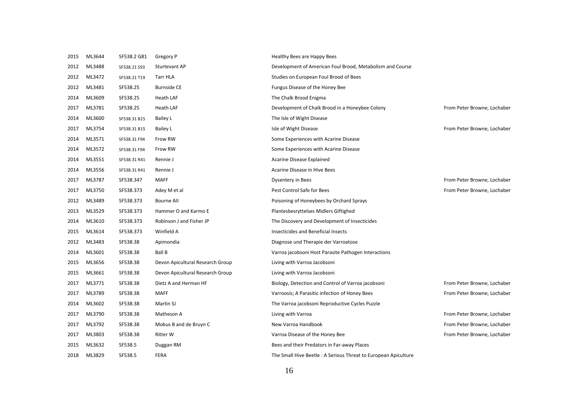| 2015 | ML3644 | SF538.2 G81  | Gregory P                        | Healthy Bees are Happy Bees                                    |                             |
|------|--------|--------------|----------------------------------|----------------------------------------------------------------|-----------------------------|
| 2012 | ML3488 | SF538.21 S93 | Sturtevant AP                    | Development of American Foul Brood, Metabolism and Course      |                             |
| 2012 | ML3472 | SF538.21 T19 | Tarr HLA                         | Studies on European Foul Brood of Bees                         |                             |
| 2012 | ML3481 | SF538.25     | <b>Burnside CE</b>               | Fungus Disease of the Honey Bee                                |                             |
| 2014 | ML3609 | SF538.25     | Heath LAF                        | The Chalk Brood Enigma                                         |                             |
| 2017 | ML3781 | SF538.25     | Heath LAF                        | Development of Chalk Brood in a Honeybee Colony                | From Peter Browne, Lochaber |
| 2014 | ML3600 | SF538.31 B15 | Bailey L                         | The Isle of Wight Disease                                      |                             |
| 2017 | ML3754 | SF538.31 B15 | Bailey L                         | Isle of Wight Disease                                          | From Peter Browne, Lochaber |
| 2014 | ML3571 | SF538.31 F94 | Frow RW                          | Some Experiences with Acarine Disease                          |                             |
| 2014 | ML3572 | SF538.31 F94 | Frow RW                          | Some Experiences with Acarine Disease                          |                             |
| 2014 | ML3551 | SF538.31 R41 | Rennie J                         | Acarine Disease Explained                                      |                             |
| 2014 | ML3556 | SF538.31 R41 | Rennie J                         | Acarine Disease in Hive Bees                                   |                             |
| 2017 | ML3787 | SF538.347    | <b>MAFF</b>                      | Dysentery in Bees                                              | From Peter Browne, Lochaber |
| 2017 | ML3750 | SF538.373    | Adey M et al                     | Pest Control Safe for Bees                                     | From Peter Browne, Lochaber |
| 2012 | ML3489 | SF538.373    | <b>Bourne All</b>                | Poisoning of Honeybees by Orchard Sprays                       |                             |
| 2013 | ML3529 | SF538.373    | Hammer O and Karmo E             | Plantesbesryttelses Midlers Giftighed                          |                             |
| 2014 | ML3610 | SF538.373    | Robinson J and Fisher JP         | The Discovery and Development of Insecticides                  |                             |
| 2015 | ML3614 | SF538.373    | Winfield A                       | Insecticides and Beneficial Insects                            |                             |
| 2012 | ML3483 | SF538.38     | Apimondia                        | Diagnose und Therapie der Varroatose                           |                             |
| 2014 | ML3601 | SF538.38     | <b>Ball B</b>                    | Varroa jacobsoni Host Parasite Pathogen Interactions           |                             |
| 2015 | ML3656 | SF538.38     | Devon Apicultural Research Group | Living with Varroa Jacobsoni                                   |                             |
| 2015 | ML3661 | SF538.38     | Devon Apicultural Research Group | Living with Varroa Jacobsoni                                   |                             |
| 2017 | ML3771 | SF538.38     | Dietz A and Herman HF            | Biology, Detection and Control of Varroa jacobsoni             | From Peter Browne, Lochaber |
| 2017 | ML3789 | SF538.38     | <b>MAFF</b>                      | Varroosis; A Parasitic infection of Honey Bees                 | From Peter Browne, Lochaber |
| 2014 | ML3602 | SF538.38     | Martin SJ                        | The Varroa jacobsoni Reproductive Cycles Puzzle                |                             |
| 2017 | ML3790 | SF538.38     | Matheson A                       | Living with Varroa                                             | From Peter Browne, Lochaber |
| 2017 | ML3792 | SF538.38     | Mobus B and de Bruyn C           | New Varroa Handbook                                            | From Peter Browne, Lochaber |
| 2017 | ML3803 | SF538.38     | <b>Ritter W</b>                  | Varroa Disease of the Honey Bee                                | From Peter Browne, Lochaber |
| 2015 | ML3632 | SF538.5      | Duggan RM                        | Bees and their Predators in Far-away Places                    |                             |
| 2018 | ML3829 | SF538.5      | FERA                             | The Small Hive Beetle: A Serious Threat to European Apiculture |                             |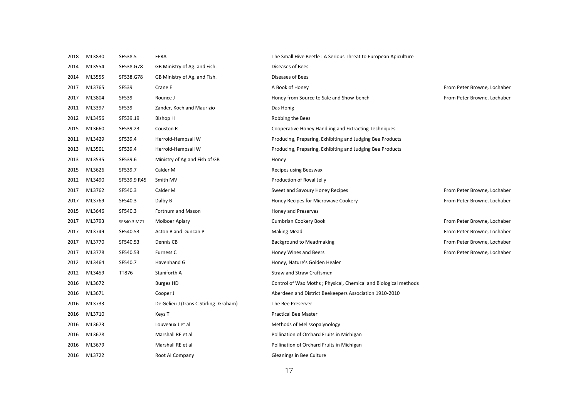| 2018 | ML3830 | SF538.5      | <b>FERA</b>                            | The Small Hive Beetle: A Serious Threat to European Apiculture  |                             |
|------|--------|--------------|----------------------------------------|-----------------------------------------------------------------|-----------------------------|
| 2014 | ML3554 | SF538.G78    | GB Ministry of Ag. and Fish.           | Diseases of Bees                                                |                             |
| 2014 | ML3555 | SF538.G78    | GB Ministry of Ag. and Fish.           | Diseases of Bees                                                |                             |
| 2017 | ML3765 | <b>SF539</b> | Crane E                                | A Book of Honey                                                 | From Peter Browne, Lochaber |
| 2017 | ML3804 | SF539        | Rounce J                               | Honey from Source to Sale and Show-bench                        | From Peter Browne, Lochaber |
| 2011 | ML3397 | SF539        | Zander, Koch and Maurizio              | Das Honig                                                       |                             |
| 2012 | ML3456 | SF539.19     | <b>Bishop H</b>                        | Robbing the Bees                                                |                             |
| 2015 | ML3660 | SF539.23     | Couston R                              | Cooperative Honey Handling and Extracting Techniques            |                             |
| 2011 | ML3429 | SF539.4      | Herrold-Hempsall W                     | Producing, Preparing, Exhibiting and Judging Bee Products       |                             |
| 2013 | ML3501 | SF539.4      | Herrold-Hempsall W                     | Producing, Preparing, Exhibiting and Judging Bee Products       |                             |
| 2013 | ML3535 | SF539.6      | Ministry of Ag and Fish of GB          | Honey                                                           |                             |
| 2015 | ML3626 | SF539.7      | Calder M                               | Recipes using Beeswax                                           |                             |
| 2012 | ML3490 | SF539.9 R45  | Smith MV                               | Production of Royal Jelly                                       |                             |
| 2017 | ML3762 | SF540.3      | Calder M                               | Sweet and Savoury Honey Recipes                                 | From Peter Browne, Lochaber |
| 2017 | ML3769 | SF540.3      | Dalby B                                | Honey Recipes for Microwave Cookery                             | From Peter Browne, Lochaber |
| 2015 | ML3646 | SF540.3      | Fortnum and Mason                      | Honey and Preserves                                             |                             |
| 2017 | ML3793 | SF540.3 M71  | <b>Molboer Apiary</b>                  | Cumbrian Cookery Book                                           | From Peter Browne, Lochaber |
| 2017 | ML3749 | SF540.53     | Acton B and Duncan P                   | <b>Making Mead</b>                                              | From Peter Browne, Lochaber |
| 2017 | ML3770 | SF540.53     | Dennis CB                              | <b>Background to Meadmaking</b>                                 | From Peter Browne, Lochaber |
| 2017 | ML3778 | SF540.53     | Furness C                              | Honey Wines and Beers                                           | From Peter Browne, Lochaber |
| 2012 | ML3464 | SF540.7      | Havenhand G                            | Honey, Nature's Golden Healer                                   |                             |
| 2012 | ML3459 | TT876        | Staniforth A                           | <b>Straw and Straw Craftsmen</b>                                |                             |
| 2016 | ML3672 |              | <b>Burges HD</b>                       | Control of Wax Moths; Physical, Chemical and Biological methods |                             |
| 2016 | ML3671 |              | Cooper J                               | Aberdeen and District Beekeepers Association 1910-2010          |                             |
| 2016 | ML3733 |              | De Gelieu J (trans C Stirling -Graham) | The Bee Preserver                                               |                             |
| 2016 | ML3710 |              | Keys T                                 | <b>Practical Bee Master</b>                                     |                             |
| 2016 | ML3673 |              | Louveaux J et al                       | Methods of Melissopalynology                                    |                             |
| 2016 | ML3678 |              | Marshall RE et al                      | Pollination of Orchard Fruits in Michigan                       |                             |
| 2016 | ML3679 |              | Marshall RE et al                      | Pollination of Orchard Fruits in Michigan                       |                             |
| 2016 | ML3722 |              | Root AI Company                        | Gleanings in Bee Culture                                        |                             |